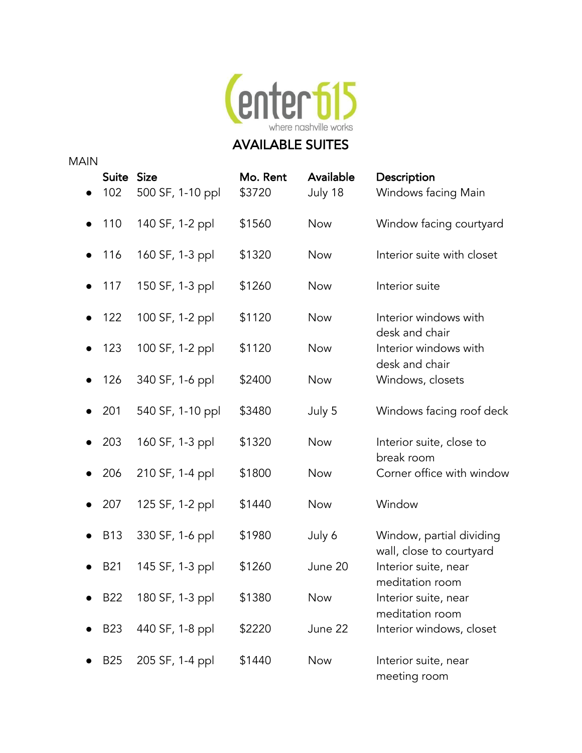

| <b>MAIN</b> |                   |                  |                    |                      |                                                  |
|-------------|-------------------|------------------|--------------------|----------------------|--------------------------------------------------|
|             | Suite Size<br>102 | 500 SF, 1-10 ppl | Mo. Rent<br>\$3720 | Available<br>July 18 | Description<br>Windows facing Main               |
|             | 110               | 140 SF, 1-2 ppl  | \$1560             | <b>Now</b>           | Window facing courtyard                          |
|             | 116               | 160 SF, 1-3 ppl  | \$1320             | <b>Now</b>           | Interior suite with closet                       |
|             | 117               | 150 SF, 1-3 ppl  | \$1260             | <b>Now</b>           | Interior suite                                   |
| $\bullet$   | 122               | 100 SF, 1-2 ppl  | \$1120             | <b>Now</b>           | Interior windows with<br>desk and chair          |
|             | 123               | 100 SF, 1-2 ppl  | \$1120             | <b>Now</b>           | Interior windows with<br>desk and chair          |
|             | 126               | 340 SF, 1-6 ppl  | \$2400             | <b>Now</b>           | Windows, closets                                 |
|             | 201               | 540 SF, 1-10 ppl | \$3480             | July 5               | Windows facing roof deck                         |
|             | 203               | 160 SF, 1-3 ppl  | \$1320             | <b>Now</b>           | Interior suite, close to<br>break room           |
|             | 206               | 210 SF, 1-4 ppl  | \$1800             | <b>Now</b>           | Corner office with window                        |
|             | 207               | 125 SF, 1-2 ppl  | \$1440             | <b>Now</b>           | Window                                           |
|             | <b>B13</b>        | 330 SF, 1-6 ppl  | \$1980             | July 6               | Window, partial dividing                         |
|             | <b>B21</b>        | 145 SF, 1-3 ppl  | \$1260             | June 20              | wall, close to courtyard<br>Interior suite, near |
|             | B <sub>22</sub>   | 180 SF, 1-3 ppl  | \$1380             | <b>Now</b>           | meditation room<br>Interior suite, near          |
|             | <b>B23</b>        | 440 SF, 1-8 ppl  | \$2220             | June 22              | meditation room<br>Interior windows, closet      |
|             | <b>B25</b>        | 205 SF, 1-4 ppl  | \$1440             | <b>Now</b>           | Interior suite, near<br>meeting room             |